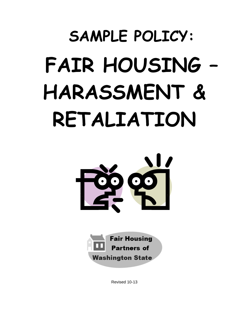# **SAMPLE POLICY: FAIR HOUSING – HARASSMENT & RETALIATION**





Revised 10-13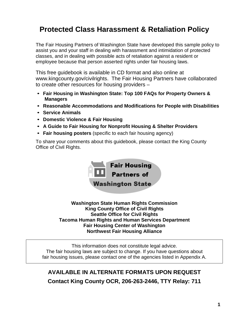# **Protected Class Harassment & Retaliation Policy**

The Fair Housing Partners of Washington State have developed this sample policy to assist you and your staff in dealing with harassment and intimidation of protected classes, and in dealing with possible acts of retaliation against a resident or employee because that person asserted rights under fair housing laws.

This free guidebook is available in CD format and also online at www.kingcounty.gov/civilrights. The Fair Housing Partners have collaborated to create other resources for housing providers –

- **Fair Housing in Washington State: Top 100 FAQs for Property Owners & Managers**
- **Reasonable Accommodations and Modifications for People with Disabilities**
- **Service Animals**
- **Domestic Violence & Fair Housing**
- **A Guide to Fair Housing for Nonprofit Housing & Shelter Providers**
- **Fair housing posters** (specific to each fair housing agency)

To share your comments about this guidebook, please contact the King County Office of Civil Rights.



**Washington State Human Rights Commission King County Office of Civil Rights Seattle Office for Civil Rights Tacoma Human Rights and Human Services Department Fair Housing Center of Washington Northwest Fair Housing Alliance**

This information does not constitute legal advice. The fair housing laws are subject to change. If you have questions about fair housing issues, please contact one of the agencies listed in Appendix A.

# **AVAILABLE IN ALTERNATE FORMATS UPON REQUEST Contact King County OCR, 206-263-2446, TTY Relay: 711**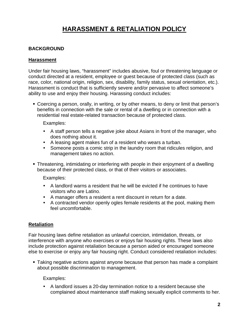# **HARASSMENT & RETALIATION POLICY**

## **BACKGROUND**

### **Harassment**

Under fair housing laws, "harassment" includes abusive, foul or threatening language or conduct directed at a resident, employee or guest because of protected class (such as race, color, national origin, religion, sex, disability, family status, sexual orientation, etc.). Harassment is conduct that is sufficiently severe and/or pervasive to affect someone's ability to use and enjoy their housing. Harassing conduct includes:

 Coercing a person, orally, in writing, or by other means, to deny or limit that person's benefits in connection with the sale or rental of a dwelling or in connection with a residential real estate-related transaction because of protected class.

Examples:

- A staff person tells a negative joke about Asians in front of the manager, who does nothing about it.
- A leasing agent makes fun of a resident who wears a turban.
- Someone posts a comic strip in the laundry room that ridicules religion, and management takes no action.
- Threatening, intimidating or interfering with people in their enjoyment of a dwelling because of their protected class, or that of their visitors or associates.

Examples:

- A landlord warns a resident that he will be evicted if he continues to have visitors who are Latino.
- A manager offers a resident a rent discount in return for a date.
- A contracted vendor openly ogles female residents at the pool, making them feel uncomfortable.

#### **Retaliation**

Fair housing laws define retaliation as unlawful coercion, intimidation, threats, or interference with anyone who exercises or enjoys fair housing rights. These laws also include protection against retaliation because a person aided or encouraged someone else to exercise or enjoy any fair housing right. Conduct considered retaliation includes:

 Taking negative actions against anyone because that person has made a complaint about possible discrimination to management.

Examples:

 A landlord issues a 20-day termination notice to a resident because she complained about maintenance staff making sexually explicit comments to her.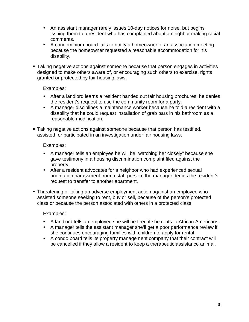- An assistant manager rarely issues 10-day notices for noise, but begins issuing them to a resident who has complained about a neighbor making racial comments.
- A condominium board fails to notify a homeowner of an association meeting because the homeowner requested a reasonable accommodation for his disability.
- Taking negative actions against someone because that person engages in activities designed to make others aware of, or encouraging such others to exercise, rights granted or protected by fair housing laws.

## Examples:

- After a landlord learns a resident handed out fair housing brochures, he denies the resident's request to use the community room for a party.
- A manager disciplines a maintenance worker because he told a resident with a disability that he could request installation of grab bars in his bathroom as a reasonable modification.
- Taking negative actions against someone because that person has testified, assisted, or participated in an investigation under fair housing laws.

Examples:

- A manager tells an employee he will be "watching her closely" because she gave testimony in a housing discrimination complaint filed against the property.
- After a resident advocates for a neighbor who had experienced sexual orientation harassment from a staff person, the manager denies the resident's request to transfer to another apartment.
- Threatening or taking an adverse employment action against an employee who assisted someone seeking to rent, buy or sell, because of the person's protected class or because the person associated with others in a protected class.

Examples:

- A landlord tells an employee she will be fired if she rents to African Americans.
- A manager tells the assistant manager she'll get a poor performance review if she continues encouraging families with children to apply for rental.
- A condo board tells its property management company that their contract will be cancelled if they allow a resident to keep a therapeutic assistance animal.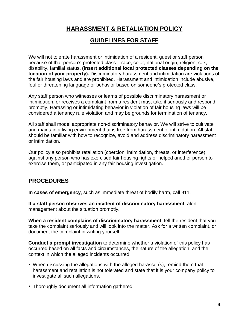# **HARASSMENT & RETALIATION POLICY**

## **GUIDELINES FOR STAFF**

We will not tolerate harassment or intimidation of a resident, guest or staff person because of that person's protected class – race, color, national origin, religion, sex, disability, familial status**, (insert additional local protected classes depending on the location of your property).** Discriminatory harassment and intimidation are violations of the fair housing laws and are prohibited. Harassment and intimidation include abusive, foul or threatening language or behavior based on someone's protected class.

Any staff person who witnesses or learns of possible discriminatory harassment or intimidation, or receives a complaint from a resident must take it seriously and respond promptly. Harassing or intimidating behavior in violation of fair housing laws will be considered a tenancy rule violation and may be grounds for termination of tenancy.

All staff shall model appropriate non-discriminatory behavior. We will strive to cultivate and maintain a living environment that is free from harassment or intimidation. All staff should be familiar with how to recognize, avoid and address discriminatory harassment or intimidation.

Our policy also prohibits retaliation (coercion, intimidation, threats, or interference) against any person who has exercised fair housing rights or helped another person to exercise them, or participated in any fair housing investigation.

## **PROCEDURES**

**In cases of emergency**, such as immediate threat of bodily harm, call 911.

**If a staff person observes an incident of discriminatory harassment**, alert management about the situation promptly.

**When a resident complains of discriminatory harassment**, tell the resident that you take the complaint seriously and will look into the matter. Ask for a written complaint, or document the complaint in writing yourself.

**Conduct a prompt investigation** to determine whether a violation of this policy has occurred based on all facts and circumstances, the nature of the allegation, and the context in which the alleged incidents occurred.

- When discussing the allegations with the alleged harasser(s), remind them that harassment and retaliation is not tolerated and state that it is your company policy to investigate all such allegations.
- **Thoroughly document all information gathered.**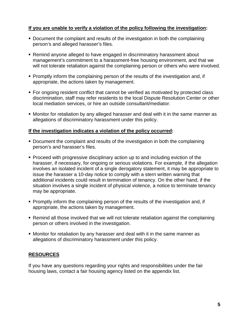## **If you are unable to verify a violation of the policy following the investigation:**

- Document the complaint and results of the investigation in both the complaining person's and alleged harasser's files.
- Remind anyone alleged to have engaged in discriminatory harassment about management's commitment to a harassment-free housing environment, and that we will not tolerate retaliation against the complaining person or others who were involved.
- **Promptly inform the complaining person of the results of the investigation and, if** appropriate, the actions taken by management.
- For ongoing resident conflict that cannot be verified as motivated by protected class discrimination, staff may refer residents to the local Dispute Resolution Center or other local mediation services, or hire an outside consultant/mediator.
- Monitor for retaliation by any alleged harasser and deal with it in the same manner as allegations of discriminatory harassment under this policy.

#### **If the investigation indicates a violation of the policy occurred:**

- Document the complaint and results of the investigation in both the complaining person's and harasser's files.
- Proceed with progressive disciplinary action up to and including eviction of the harasser, if necessary, for ongoing or serious violations. For example, if the allegation involves an isolated incident of a single derogatory statement, it may be appropriate to issue the harasser a 10-day notice to comply with a stern written warning that additional incidents could result in termination of tenancy. On the other hand, if the situation involves a single incident of physical violence, a notice to terminate tenancy may be appropriate.
- Promptly inform the complaining person of the results of the investigation and, if appropriate, the actions taken by management.
- Remind all those involved that we will not tolerate retaliation against the complaining person or others involved in the investigation.
- Monitor for retaliation by any harasser and deal with it in the same manner as allegations of discriminatory harassment under this policy.

## **RESOURCES**

If you have any questions regarding your rights and responsibilities under the fair housing laws, contact a fair housing agency listed on the appendix list.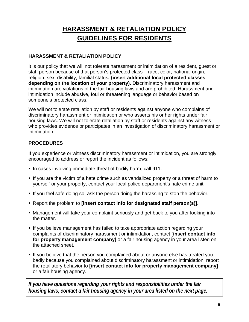# **HARASSMENT & RETALIATION POLICY GUIDELINES FOR RESIDENTS**

## **HARASSMENT & RETALIATION POLICY**

It is our policy that we will not tolerate harassment or intimidation of a resident, guest or staff person because of that person's protected class – race, color, national origin, religion, sex, disability, familial status**, (insert additional local protected classes depending on the location of your property).** Discriminatory harassment and intimidation are violations of the fair housing laws and are prohibited. Harassment and intimidation include abusive, foul or threatening language or behavior based on someone's protected class.

We will not tolerate retaliation by staff or residents against anyone who complains of discriminatory harassment or intimidation or who asserts his or her rights under fair housing laws. We will not tolerate retaliation by staff or residents against any witness who provides evidence or participates in an investigation of discriminatory harassment or intimidation.

## **PROCEDURES**

If you experience or witness discriminatory harassment or intimidation, you are strongly encouraged to address or report the incident as follows:

- In cases involving immediate threat of bodily harm, call 911.
- If you are the victim of a hate crime such as vandalized property or a threat of harm to yourself or your property, contact your local police department's hate crime unit.
- If you feel safe doing so, ask the person doing the harassing to stop the behavior.
- Report the problem to **[insert contact info for designated staff person(s)]**.
- Management will take your complaint seriously and get back to you after looking into the matter.
- If you believe management has failed to take appropriate action regarding your complaints of discriminatory harassment or intimidation, contact **[insert contact info for property management company]** or a fair housing agency in your area listed on the attached sheet.
- If you believe that the person you complained about or anyone else has treated you badly because you complained about discriminatory harassment or intimidation, report the retaliatory behavior to **[insert contact info for property management company]**  or a fair housing agency.

*If you have questions regarding your rights and responsibilities under the fair housing laws, contact a fair housing agency in your area listed on the next page.*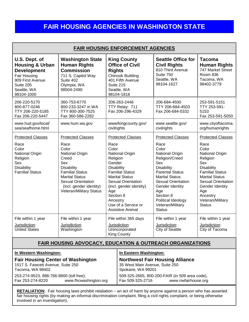## **FAIR HOUSING AGENCIES IN WASHINGTON STATE**

| <b>FAIR HOUSING ENFORCEMENT AGENCIES</b>                                                                                                               |                                                                                                                                                                                                             |                                                                                                                                                                                                                                                                                 |                                                                                               |                                                                                                                                                                                                                                                                         |                                                                                                                                                                                                                                            |
|--------------------------------------------------------------------------------------------------------------------------------------------------------|-------------------------------------------------------------------------------------------------------------------------------------------------------------------------------------------------------------|---------------------------------------------------------------------------------------------------------------------------------------------------------------------------------------------------------------------------------------------------------------------------------|-----------------------------------------------------------------------------------------------|-------------------------------------------------------------------------------------------------------------------------------------------------------------------------------------------------------------------------------------------------------------------------|--------------------------------------------------------------------------------------------------------------------------------------------------------------------------------------------------------------------------------------------|
| U.S. Dept. of<br><b>Housing &amp; Urban</b><br><b>Development</b><br><b>Fair Housing</b><br>909 First Avenue<br>Suite 205<br>Seattle, WA<br>98104-1000 | <b>Washington State</b><br><b>Human Rights</b><br><b>Commission</b><br>711 S. Capitol Way<br>Suite 402<br>Olympia, WA<br>98504-2490                                                                         | <b>King County</b><br><b>Office of Civil</b><br><b>Rights</b><br><b>Chinook Building</b><br>401 Fifth Avenue<br>Suite 215<br>Seattle, WA<br>98104-1818                                                                                                                          |                                                                                               | <b>Seattle Office for</b><br><b>Civil Rights</b><br>810 Third Avenue<br>Suite 750<br>Seattle, WA<br>98104-1627                                                                                                                                                          | <b>Tacoma</b><br><b>Human Rights</b><br>747 Market Street<br><b>Room 836</b><br>Tacoma, WA<br>98402-3779                                                                                                                                   |
| 206-220-5170<br>800-877-0246<br>TTY 206-220-5185<br>Fax 206-220-5447                                                                                   | 360-753-6770<br>800-233-3247 in WA<br>TTY 800-300-7525<br>Fax 360-586-2282                                                                                                                                  | 206-263-2446<br>TTY Relay: 711<br>Fax 206-296-4329                                                                                                                                                                                                                              |                                                                                               | 206-684-4500<br>TTY 206-684-4503<br>Fax 206-684-0332                                                                                                                                                                                                                    | 253-591-5151<br>TTY 253-591-<br>5153<br>Fax 253-591-5050                                                                                                                                                                                   |
| www.hud.gov/local/<br>sea/seafhome.html                                                                                                                | www.hum.wa.gov                                                                                                                                                                                              | www/kingcounty.gov/<br>civilrights                                                                                                                                                                                                                                              |                                                                                               | www.seattle.gov/<br>civilrights                                                                                                                                                                                                                                         | www.cityoftacoma.<br>org/humanrights                                                                                                                                                                                                       |
| <b>Protected Classes</b>                                                                                                                               | <b>Protected Classes</b>                                                                                                                                                                                    | <b>Protected Classes</b>                                                                                                                                                                                                                                                        |                                                                                               | <b>Protected Classes</b>                                                                                                                                                                                                                                                | <b>Protected Classes</b>                                                                                                                                                                                                                   |
| Race<br>Color<br>National Origin<br>Religion<br>Sex<br><b>Disability</b><br><b>Familial Status</b>                                                     | Race<br>Color<br>National Origin<br>Creed<br>Sex<br><b>Disability</b><br><b>Familial Status</b><br><b>Marital Status</b><br><b>Sexual Orientation</b><br>(incl. gender identity)<br>Veteran/Military Status | Race<br>Color<br><b>National Origin</b><br>Religion<br>Gender<br><b>Disability</b><br><b>Familial Status</b><br><b>Marital Status</b><br><b>Sexual Orientation</b><br>(incl. gender identity)<br>Age<br>Section 8<br>Ancestry<br>Use of a Service or<br><b>Assistive Animal</b> |                                                                                               | Race<br>Color<br><b>National Origin</b><br>Religion/Creed<br>Sex<br><b>Disability</b><br><b>Parental Status</b><br><b>Marital Status</b><br><b>Sexual Orientation</b><br>Gender Identity<br>Age<br>Section 8<br>Political Ideology<br>Veteran/Military<br><b>Status</b> | Race<br>Color<br><b>National Origin</b><br>Religion<br>Sex<br><b>Disability</b><br><b>Familial Status</b><br><b>Marital Status</b><br><b>Sexual Orientation</b><br>Gender Identity<br>Age<br>Ancestry<br>Veteran/Military<br><b>Status</b> |
| File within 1 year<br>Jurisdiction:<br><b>United States</b>                                                                                            | File within 1 year<br>Jurisdiction:<br>Washington                                                                                                                                                           | File within 365 days<br>Jurisdiction:<br>Unincorporated<br><b>King County</b>                                                                                                                                                                                                   |                                                                                               | File within 1 year<br>Jurisdiction:<br>City of Seattle                                                                                                                                                                                                                  | File within 1 year<br>Jurisdiction:<br>City of Tacoma                                                                                                                                                                                      |
| <b>FAIR HOUSING ADVOCACY, EDUCATION &amp; OUTREACH ORGANIZATIONS</b>                                                                                   |                                                                                                                                                                                                             |                                                                                                                                                                                                                                                                                 |                                                                                               |                                                                                                                                                                                                                                                                         |                                                                                                                                                                                                                                            |
| In Western Washington:                                                                                                                                 |                                                                                                                                                                                                             |                                                                                                                                                                                                                                                                                 | In Eastern Washington:                                                                        |                                                                                                                                                                                                                                                                         |                                                                                                                                                                                                                                            |
| <b>Fair Housing Center of Washington</b><br>1517 S. Fawcett Avenue, Suite 250<br>Tacoma, WA 98402                                                      |                                                                                                                                                                                                             |                                                                                                                                                                                                                                                                                 | <b>Northwest Fair Housing Alliance</b><br>35 West Main Avenue, Suite 250<br>Spokane, WA 99201 |                                                                                                                                                                                                                                                                         |                                                                                                                                                                                                                                            |
| 253-274-9523, 888-766-8800 (toll free),<br>Fax 253-274-8220<br>www.fhcwashington.org                                                                   |                                                                                                                                                                                                             |                                                                                                                                                                                                                                                                                 | 509-325-2665, 800-200-FAIR (in 509 area code),<br>Fax 509-325-2716<br>www.nwfairhouse.org     |                                                                                                                                                                                                                                                                         |                                                                                                                                                                                                                                            |
|                                                                                                                                                        |                                                                                                                                                                                                             |                                                                                                                                                                                                                                                                                 |                                                                                               |                                                                                                                                                                                                                                                                         |                                                                                                                                                                                                                                            |

**RETALIATION:** Fair housing laws prohibit retaliation – an act of harm by anyone against a person who has asserted fair housing rights (by making an informal discrimination complaint, filing a civil rights complaint, or being otherwise involved in an investigation).